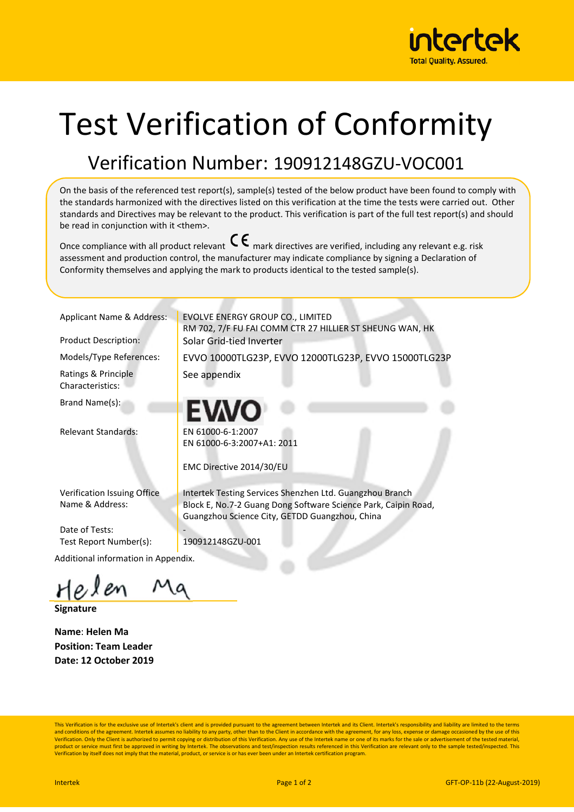

## Test Verification of Conformity

## Verification Number: 190912148GZU-VOC001

On the basis of the referenced test report(s), sample(s) tested of the below product have been found to comply with the standards harmonized with the directives listed on this verification at the time the tests were carried out. Other standards and Directives may be relevant to the product. This verification is part of the full test report(s) and should be read in conjunction with it <them>.

Once compliance with all product relevant  $\mathsf{C}\boldsymbol{\epsilon}$  mark directives are verified, including any relevant e.g. risk assessment and production control, the manufacturer may indicate compliance by signing a Declaration of Conformity themselves and applying the mark to products identical to the tested sample(s).

Ratings & Principle Characteristics:

Brand Name(s):

Relevant Standards: EN 61000-6-1:2007

Applicant Name & Address: EVOLVE ENERGY GROUP CO., LIMITED RM 702, 7/F FU FAI COMM CTR 27 HILLIER ST SHEUNG WAN, HK Product Description: Solar Grid-tied Inverter

Models/Type References: LEVVO 10000TLG23P, EVVO 12000TLG23P, EVVO 15000TLG23P

See appendix

EN 61000-6-3:2007+A1: 2011

EMC Directive 2014/30/EU

Verification Issuing Office Name & Address:

Date of Tests: Test Report Number(s): 190912148GZU-001

Additional information in Appendix.

**Signature** 

**Name**: **Helen Ma Position: Team Leader Date: 12 October 2019**  Intertek Testing Services Shenzhen Ltd. Guangzhou Branch Block E, No.7-2 Guang Dong Software Science Park, Caipin Road, Guangzhou Science City, GETDD Guangzhou, China

This Verification is for the exclusive use of Intertek's client and is provided pursuant to the agreement between Intertek and its Client. Intertek's responsibility and liability are limited to the terms and conditions of the agreement. Intertek assumes no liability to any party, other than to the Client in accordance with the agreement, for any loss, expense or damage occasioned by the use of this<br>Verification. Only the C product or service must first be approved in writing by Intertek. The observations and test/inspection results referenced in this Verification are relevant only to the sample tested/inspected. This<br>Verification by itself d